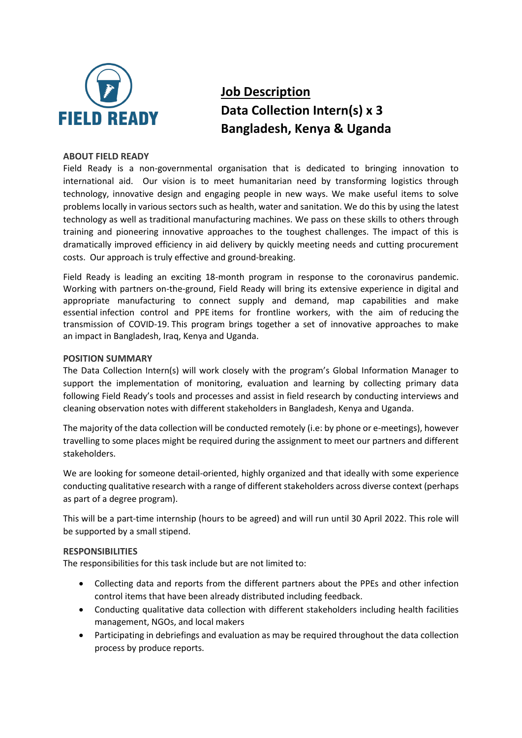

# **Job Description Data Collection Intern(s) x 3 Bangladesh, Kenya & Uganda**

### **ABOUT FIELD READY**

Field Ready is a non-governmental organisation that is dedicated to bringing innovation to international aid. Our vision is to meet humanitarian need by transforming logistics through technology, innovative design and engaging people in new ways. We make useful items to solve problems locally in various sectors such as health, water and sanitation. We do this by using the latest technology as well as traditional manufacturing machines. We pass on these skills to others through training and pioneering innovative approaches to the toughest challenges. The impact of this is dramatically improved efficiency in aid delivery by quickly meeting needs and cutting procurement costs. Our approach is truly effective and ground-breaking.

Field Ready is leading an exciting 18-month program in response to the coronavirus pandemic. Working with partners on-the-ground, Field Ready will bring its extensive experience in digital and appropriate manufacturing to connect supply and demand, map capabilities and make essential infection control and PPE items for frontline workers, with the aim of reducing the transmission of COVID-19. This program brings together a set of innovative approaches to make an impact in Bangladesh, Iraq, Kenya and Uganda. 

#### **POSITION SUMMARY**

The Data Collection Intern(s) will work closely with the program's Global Information Manager to support the implementation of monitoring, evaluation and learning by collecting primary data following Field Ready's tools and processes and assist in field research by conducting interviews and cleaning observation notes with different stakeholders in Bangladesh, Kenya and Uganda.

The majority of the data collection will be conducted remotely (i.e: by phone or e-meetings), however travelling to some places might be required during the assignment to meet our partners and different stakeholders.

We are looking for someone detail-oriented, highly organized and that ideally with some experience conducting qualitative research with a range of different stakeholders across diverse context (perhaps as part of a degree program).

This will be a part-time internship (hours to be agreed) and will run until 30 April 2022. This role will be supported by a small stipend.

### **RESPONSIBILITIES**

The responsibilities for this task include but are not limited to:

- Collecting data and reports from the different partners about the PPEs and other infection control items that have been already distributed including feedback.
- Conducting qualitative data collection with different stakeholders including health facilities management, NGOs, and local makers
- Participating in debriefings and evaluation as may be required throughout the data collection process by produce reports.